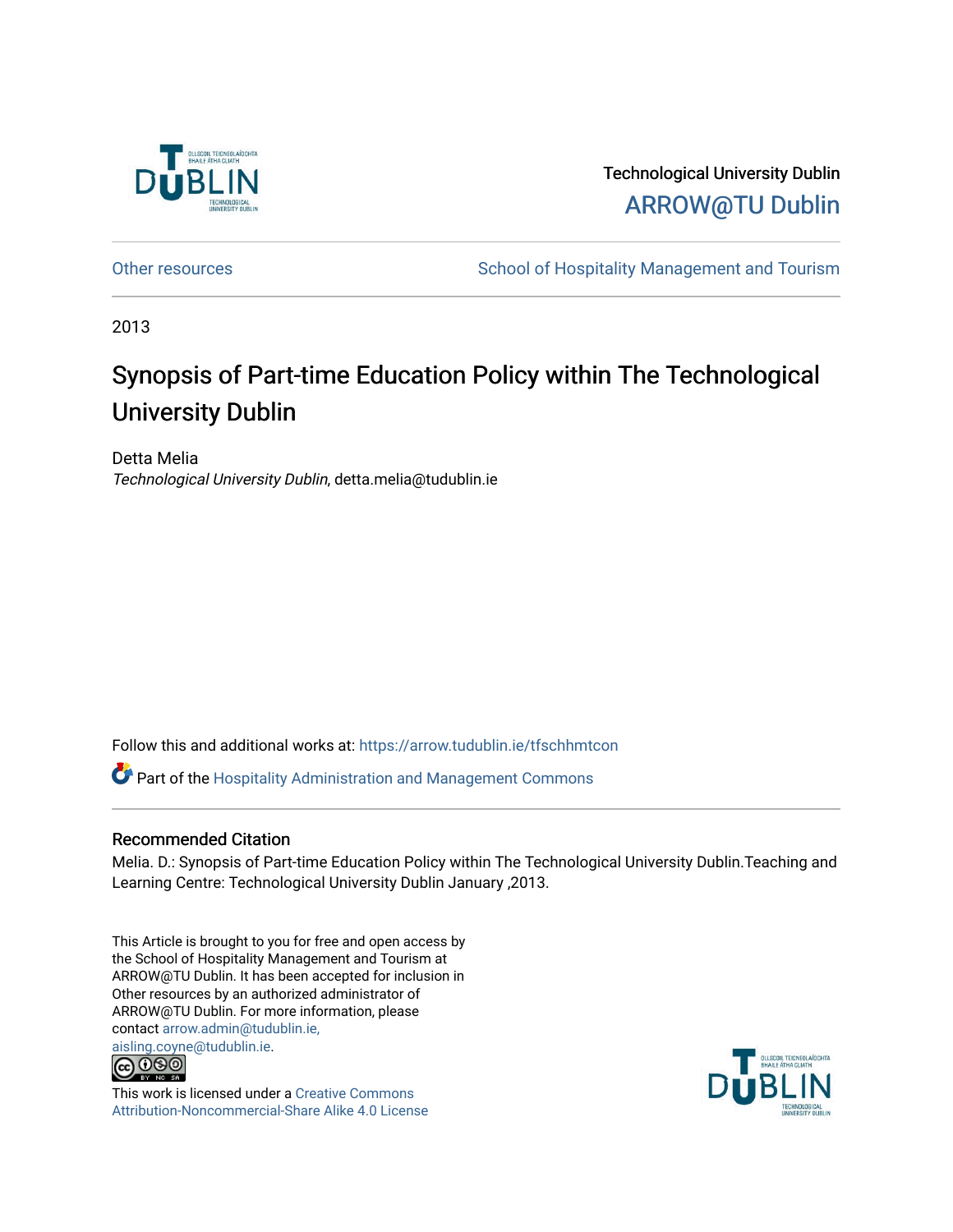

Technological University Dublin [ARROW@TU Dublin](https://arrow.tudublin.ie/) 

[Other resources](https://arrow.tudublin.ie/tfschhmtcon) **School of Hospitality Management and Tourism** 

2013

## Synopsis of Part-time Education Policy within The Technological University Dublin

Detta Melia Technological University Dublin, detta.melia@tudublin.ie

Follow this and additional works at: [https://arrow.tudublin.ie/tfschhmtcon](https://arrow.tudublin.ie/tfschhmtcon?utm_source=arrow.tudublin.ie%2Ftfschhmtcon%2F31&utm_medium=PDF&utm_campaign=PDFCoverPages) 

Part of the [Hospitality Administration and Management Commons](http://network.bepress.com/hgg/discipline/632?utm_source=arrow.tudublin.ie%2Ftfschhmtcon%2F31&utm_medium=PDF&utm_campaign=PDFCoverPages) 

## Recommended Citation

Melia. D.: Synopsis of Part-time Education Policy within The Technological University Dublin.Teaching and Learning Centre: Technological University Dublin January ,2013.

This Article is brought to you for free and open access by the School of Hospitality Management and Tourism at ARROW@TU Dublin. It has been accepted for inclusion in Other resources by an authorized administrator of ARROW@TU Dublin. For more information, please contact [arrow.admin@tudublin.ie,](mailto:arrow.admin@tudublin.ie,%20aisling.coyne@tudublin.ie)  [aisling.coyne@tudublin.ie.](mailto:arrow.admin@tudublin.ie,%20aisling.coyne@tudublin.ie)<br>@ 000



This work is licensed under a [Creative Commons](http://creativecommons.org/licenses/by-nc-sa/4.0/) [Attribution-Noncommercial-Share Alike 4.0 License](http://creativecommons.org/licenses/by-nc-sa/4.0/)

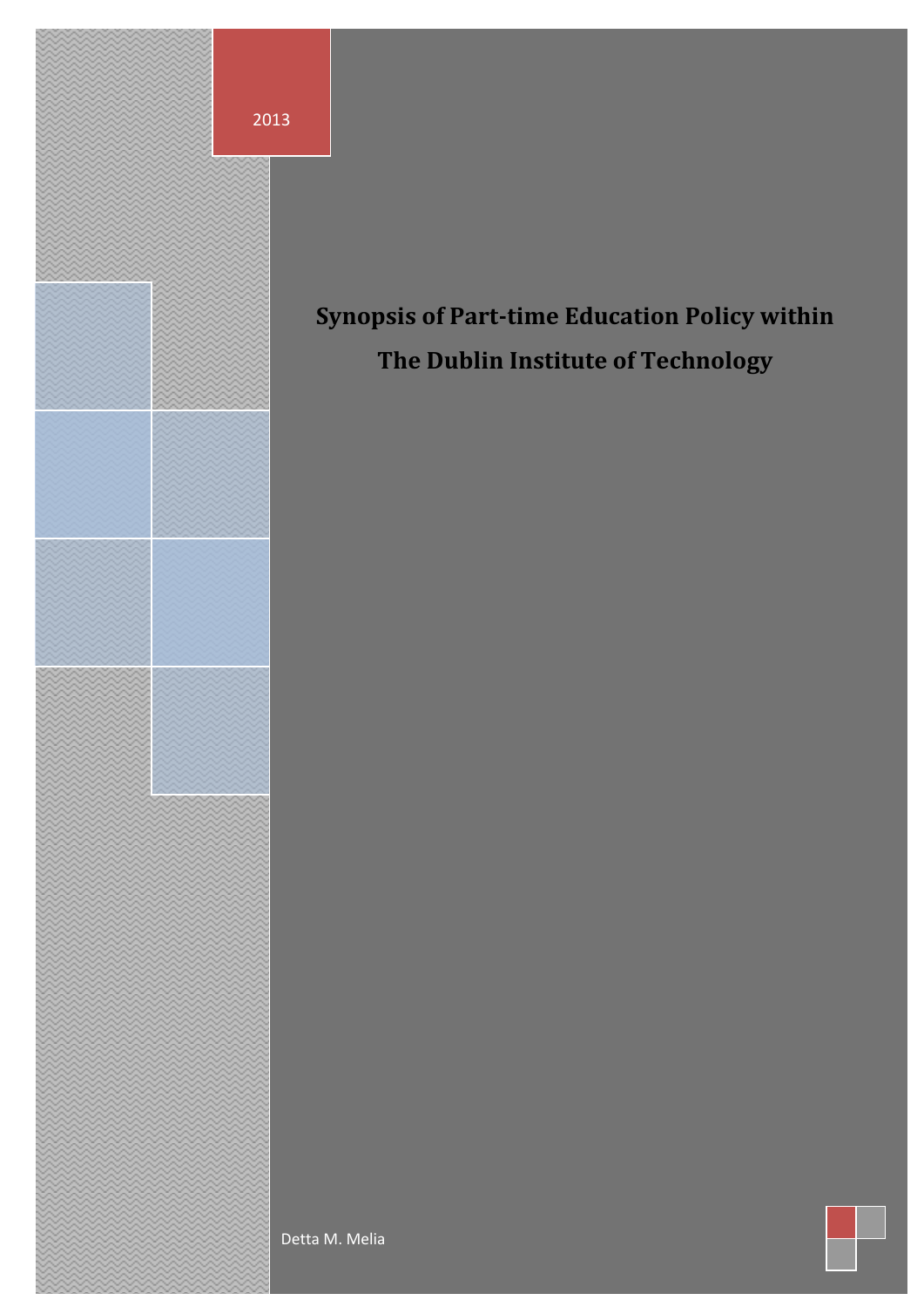

# **Working Synopsis of Paper** *a* **Synopsis of Participate Controllering Policy with Policy with Policy with**  $\mathbf{P}$ **Synopsis of Part-time Education Policy within**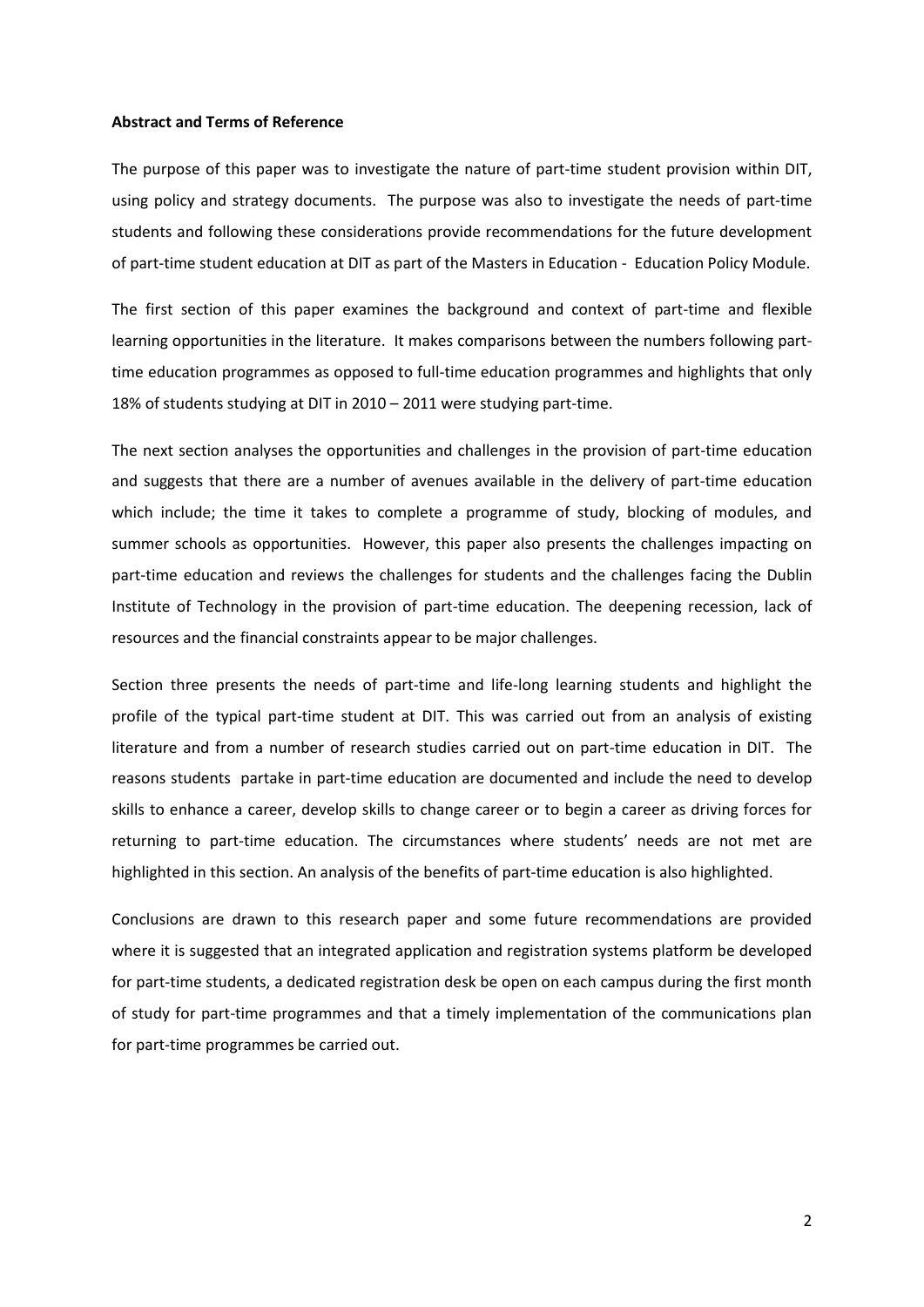#### **Abstract and Terms of Reference**

The purpose of this paper was to investigate the nature of part-time student provision within DIT, using policy and strategy documents. The purpose was also to investigate the needs of part-time students and following these considerations provide recommendations for the future development of part-time student education at DIT as part of the Masters in Education - Education Policy Module.

The first section of this paper examines the background and context of part-time and flexible learning opportunities in the literature. It makes comparisons between the numbers following parttime education programmes as opposed to full-time education programmes and highlights that only 18% of students studying at DIT in 2010 – 2011 were studying part-time.

The next section analyses the opportunities and challenges in the provision of part-time education and suggests that there are a number of avenues available in the delivery of part-time education which include; the time it takes to complete a programme of study, blocking of modules, and summer schools as opportunities. However, this paper also presents the challenges impacting on part-time education and reviews the challenges for students and the challenges facing the Dublin Institute of Technology in the provision of part-time education. The deepening recession, lack of resources and the financial constraints appear to be major challenges.

Section three presents the needs of part-time and life-long learning students and highlight the profile of the typical part-time student at DIT. This was carried out from an analysis of existing literature and from a number of research studies carried out on part-time education in DIT. The reasons students partake in part-time education are documented and include the need to develop skills to enhance a career, develop skills to change career or to begin a career as driving forces for returning to part-time education. The circumstances where students' needs are not met are highlighted in this section. An analysis of the benefits of part-time education is also highlighted.

Conclusions are drawn to this research paper and some future recommendations are provided where it is suggested that an integrated application and registration systems platform be developed for part-time students, a dedicated registration desk be open on each campus during the first month of study for part-time programmes and that a timely implementation of the communications plan for part-time programmes be carried out.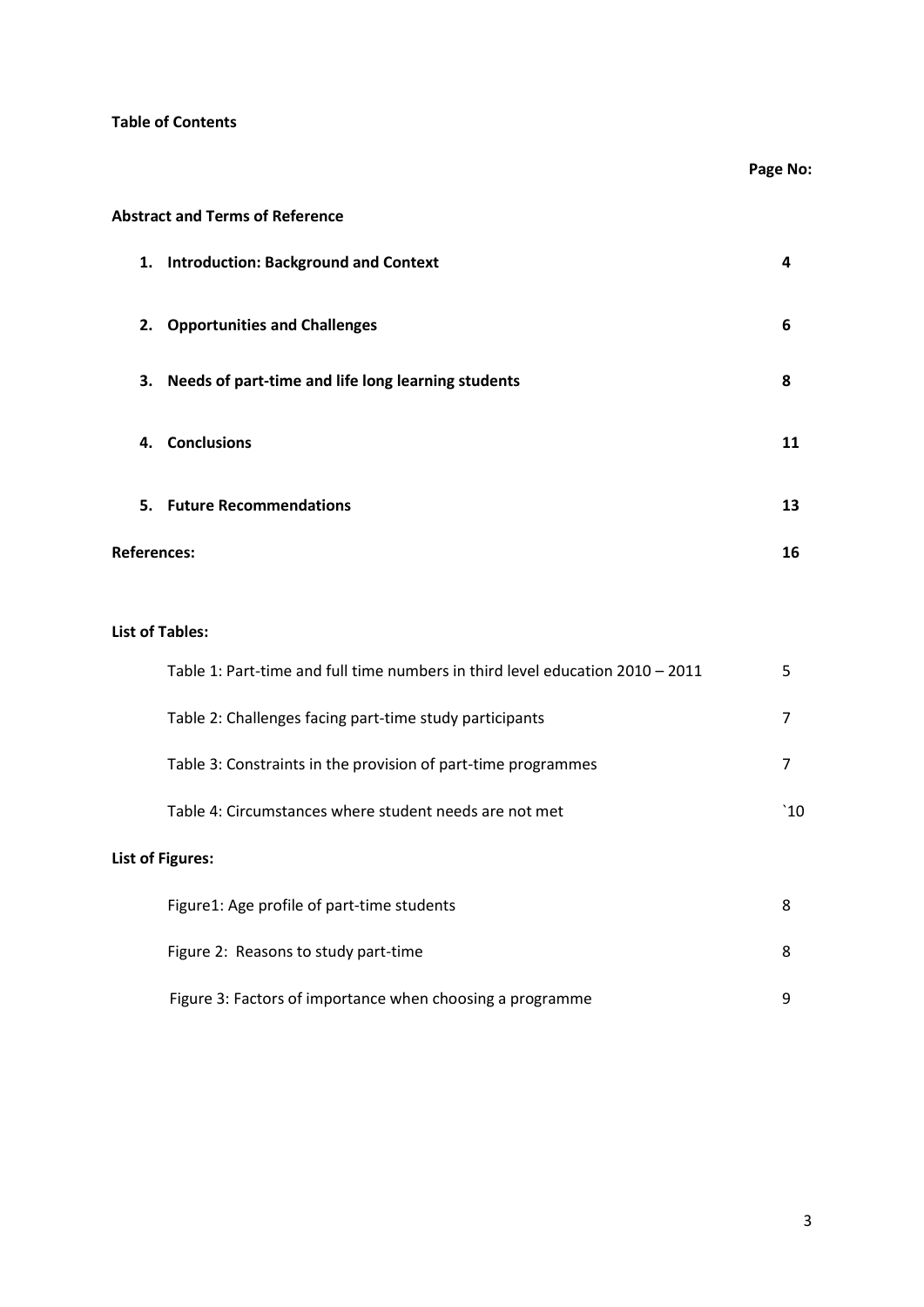## **Table of Contents**

**Page No:** 

## **Abstract and Terms of Reference**

|  | 1. Introduction: Background and Context               | 4  |
|--|-------------------------------------------------------|----|
|  | 2. Opportunities and Challenges                       | 6  |
|  | 3. Needs of part-time and life long learning students | 8  |
|  | 4. Conclusions                                        | 11 |
|  | 5. Future Recommendations                             | 13 |
|  | <b>References:</b>                                    | 16 |

## **List of Tables:**

| Table 1: Part-time and full time numbers in third level education $2010 - 2011$ | 5   |
|---------------------------------------------------------------------------------|-----|
| Table 2: Challenges facing part-time study participants                         | 7   |
| Table 3: Constraints in the provision of part-time programmes                   | 7   |
| Table 4: Circumstances where student needs are not met                          | `10 |
| <b>List of Figures:</b>                                                         |     |
| Figure1: Age profile of part-time students                                      | 8   |
| Figure 2: Reasons to study part-time                                            | 8   |
| Figure 3: Factors of importance when choosing a programme                       | 9   |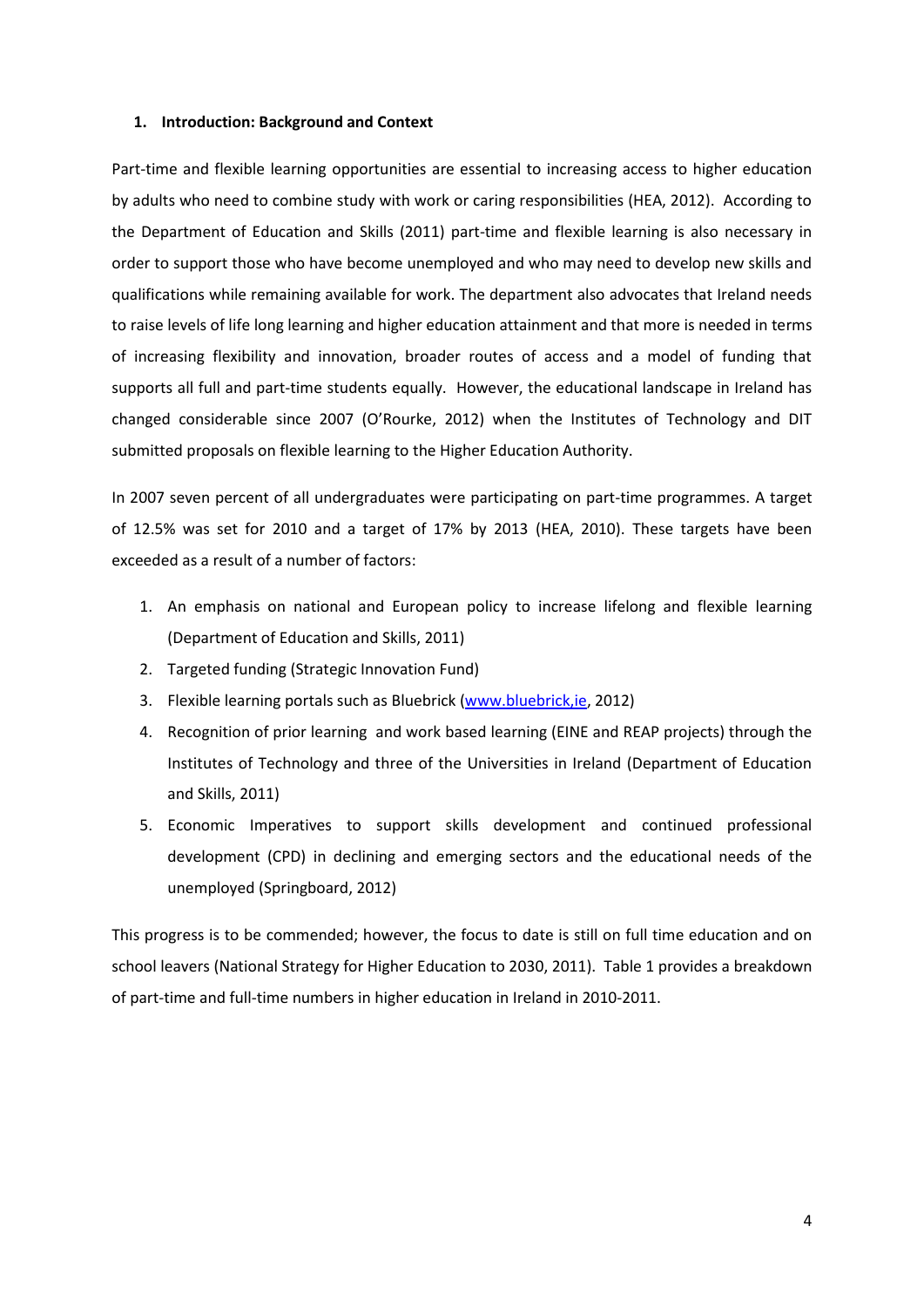#### **1. Introduction: Background and Context**

Part-time and flexible learning opportunities are essential to increasing access to higher education by adults who need to combine study with work or caring responsibilities (HEA, 2012). According to the Department of Education and Skills (2011) part-time and flexible learning is also necessary in order to support those who have become unemployed and who may need to develop new skills and qualifications while remaining available for work. The department also advocates that Ireland needs to raise levels of life long learning and higher education attainment and that more is needed in terms of increasing flexibility and innovation, broader routes of access and a model of funding that supports all full and part-time students equally. However, the educational landscape in Ireland has changed considerable since 2007 (O'Rourke, 2012) when the Institutes of Technology and DIT submitted proposals on flexible learning to the Higher Education Authority.

In 2007 seven percent of all undergraduates were participating on part-time programmes. A target of 12.5% was set for 2010 and a target of 17% by 2013 (HEA, 2010). These targets have been exceeded as a result of a number of factors:

- 1. An emphasis on national and European policy to increase lifelong and flexible learning (Department of Education and Skills, 2011)
- 2. Targeted funding (Strategic Innovation Fund)
- 3. Flexible learning portals such as Bluebrick (www.bluebrick, ie, 2012)
- 4. Recognition of prior learning and work based learning (EINE and REAP projects) through the Institutes of Technology and three of the Universities in Ireland (Department of Education and Skills, 2011)
- 5. Economic Imperatives to support skills development and continued professional development (CPD) in declining and emerging sectors and the educational needs of the unemployed (Springboard, 2012)

This progress is to be commended; however, the focus to date is still on full time education and on school leavers (National Strategy for Higher Education to 2030, 2011). Table 1 provides a breakdown of part-time and full-time numbers in higher education in Ireland in 2010-2011.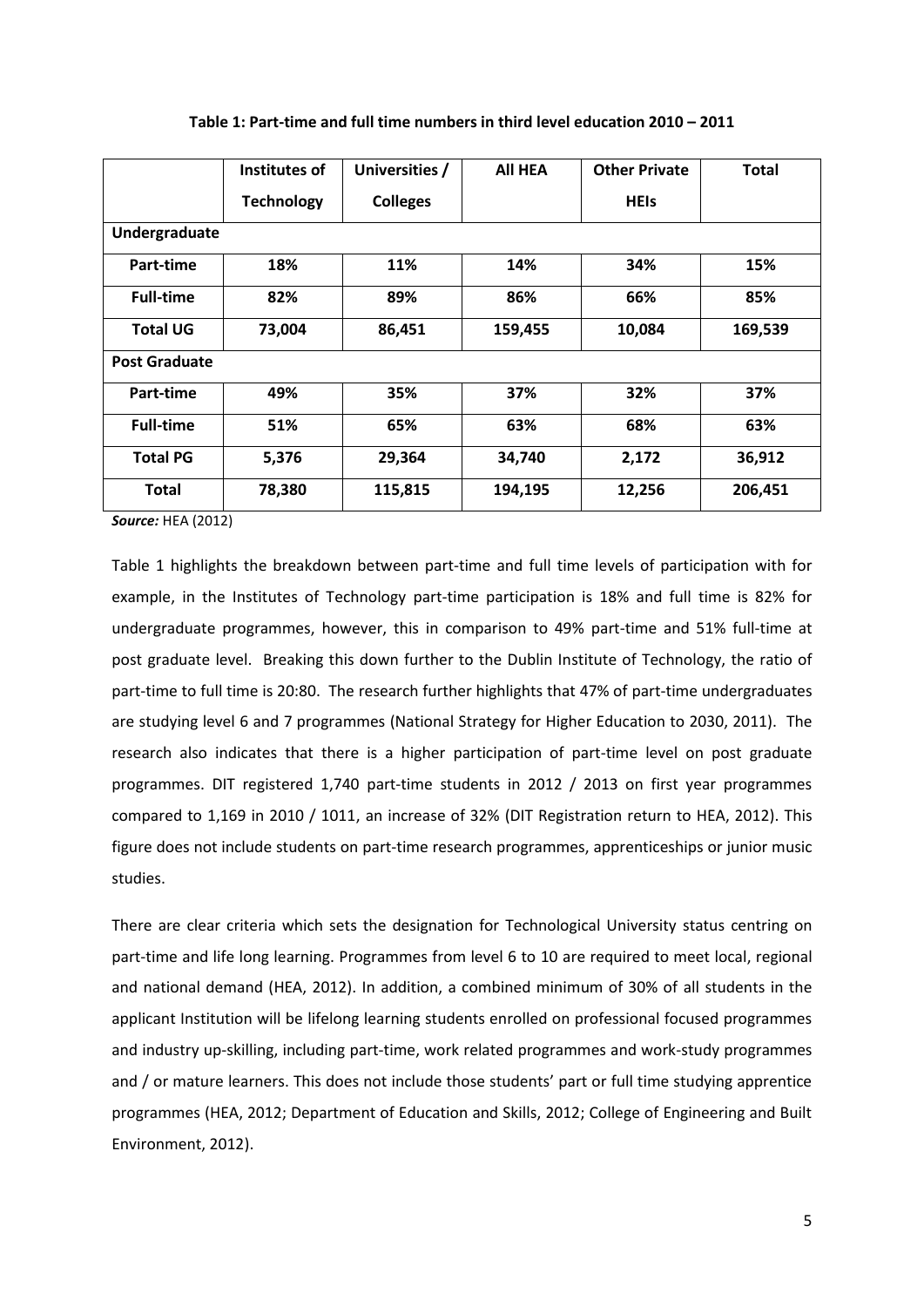|                      | Institutes of     | Universities /  | <b>AII HEA</b> | <b>Other Private</b> | <b>Total</b> |  |  |  |
|----------------------|-------------------|-----------------|----------------|----------------------|--------------|--|--|--|
|                      | <b>Technology</b> | <b>Colleges</b> |                | <b>HEIS</b>          |              |  |  |  |
| Undergraduate        |                   |                 |                |                      |              |  |  |  |
| Part-time            | 18%               | 11%             | 14%            | 34%                  | 15%          |  |  |  |
| <b>Full-time</b>     | 82%               | 89%             | 86%            | 66%                  | 85%          |  |  |  |
| <b>Total UG</b>      | 73,004            | 86,451          | 159,455        | 10,084               | 169,539      |  |  |  |
| <b>Post Graduate</b> |                   |                 |                |                      |              |  |  |  |
| Part-time            | 49%               | 35%             | 37%            | 32%                  | 37%          |  |  |  |
| <b>Full-time</b>     | 51%               | 65%             | 63%            | 68%                  | 63%          |  |  |  |
| <b>Total PG</b>      | 5,376             | 29,364          | 34,740         | 2,172                | 36,912       |  |  |  |
| <b>Total</b>         | 78,380            | 115,815         | 194,195        | 12,256               | 206,451      |  |  |  |

#### **Table 1: Part-time and full time numbers in third level education 2010 – 2011**

*Source:* HEA (2012)

Table 1 highlights the breakdown between part-time and full time levels of participation with for example, in the Institutes of Technology part-time participation is 18% and full time is 82% for undergraduate programmes, however, this in comparison to 49% part-time and 51% full-time at post graduate level. Breaking this down further to the Dublin Institute of Technology, the ratio of part-time to full time is 20:80. The research further highlights that 47% of part-time undergraduates are studying level 6 and 7 programmes (National Strategy for Higher Education to 2030, 2011). The research also indicates that there is a higher participation of part-time level on post graduate programmes. DIT registered 1,740 part-time students in 2012 / 2013 on first year programmes compared to 1,169 in 2010 / 1011, an increase of 32% (DIT Registration return to HEA, 2012). This figure does not include students on part-time research programmes, apprenticeships or junior music studies.

There are clear criteria which sets the designation for Technological University status centring on part-time and life long learning. Programmes from level 6 to 10 are required to meet local, regional and national demand (HEA, 2012). In addition, a combined minimum of 30% of all students in the applicant Institution will be lifelong learning students enrolled on professional focused programmes and industry up-skilling, including part-time, work related programmes and work-study programmes and / or mature learners. This does not include those students' part or full time studying apprentice programmes (HEA, 2012; Department of Education and Skills, 2012; College of Engineering and Built Environment, 2012).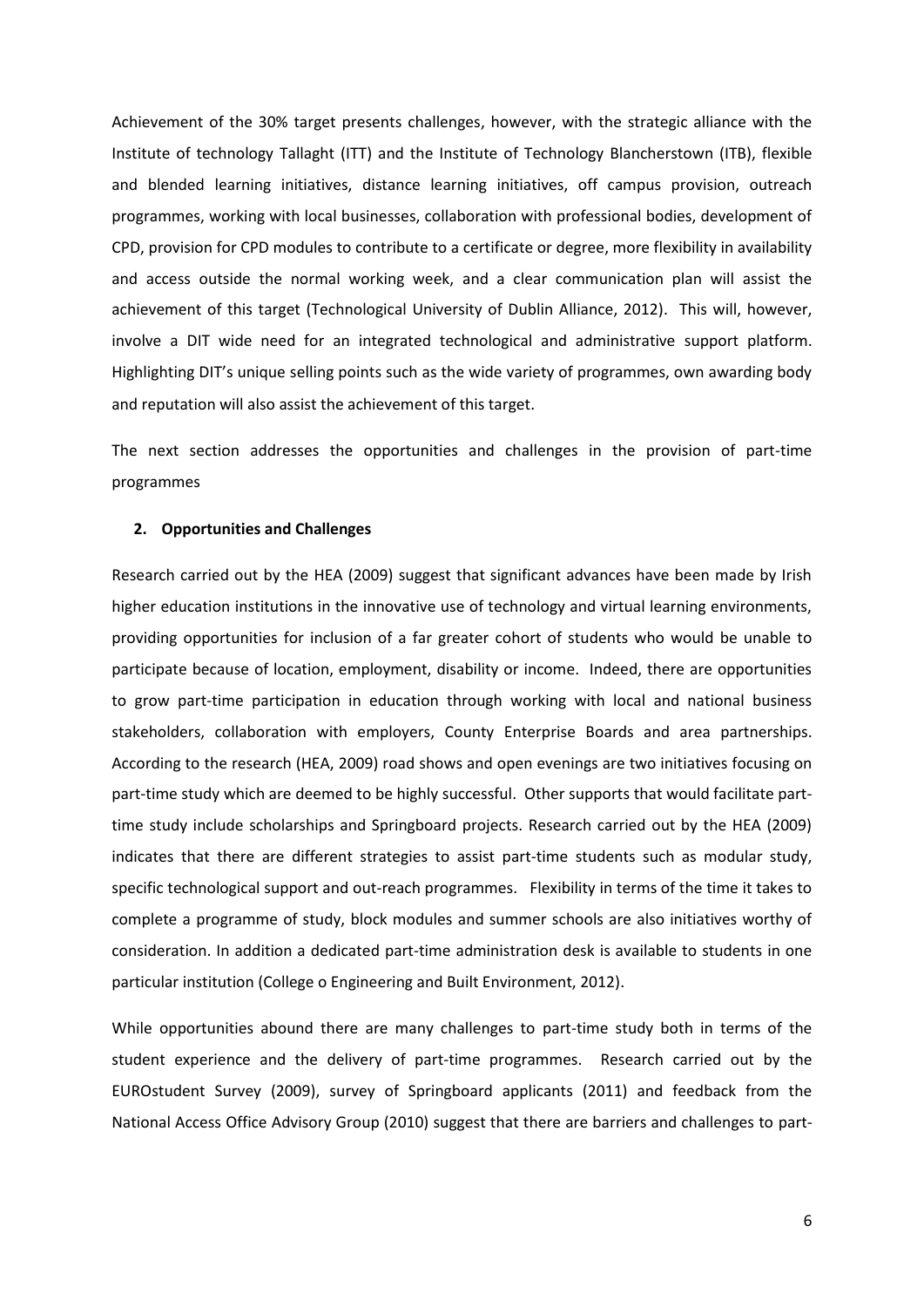Achievement of the 30% target presents challenges, however, with the strategic alliance with the Institute of technology Tallaght (ITT) and the Institute of Technology Blancherstown (ITB), flexible and blended learning initiatives, distance learning initiatives, off campus provision, outreach programmes, working with local businesses, collaboration with professional bodies, development of CPD, provision for CPD modules to contribute to a certificate or degree, more flexibility in availability and access outside the normal working week, and a clear communication plan will assist the achievement of this target (Technological University of Dublin Alliance, 2012). This will, however, involve a DIT wide need for an integrated technological and administrative support platform. Highlighting DIT's unique selling points such as the wide variety of programmes, own awarding body and reputation will also assist the achievement of this target.

The next section addresses the opportunities and challenges in the provision of part-time programmes

#### **2. Opportunities and Challenges**

Research carried out by the HEA (2009) suggest that significant advances have been made by Irish higher education institutions in the innovative use of technology and virtual learning environments, providing opportunities for inclusion of a far greater cohort of students who would be unable to participate because of location, employment, disability or income. Indeed, there are opportunities to grow part-time participation in education through working with local and national business stakeholders, collaboration with employers, County Enterprise Boards and area partnerships. According to the research (HEA, 2009) road shows and open evenings are two initiatives focusing on part-time study which are deemed to be highly successful. Other supports that would facilitate parttime study include scholarships and Springboard projects. Research carried out by the HEA (2009) indicates that there are different strategies to assist part-time students such as modular study, specific technological support and out-reach programmes. Flexibility in terms of the time it takes to complete a programme of study, block modules and summer schools are also initiatives worthy of consideration. In addition a dedicated part-time administration desk is available to students in one particular institution (College o Engineering and Built Environment, 2012).

While opportunities abound there are many challenges to part-time study both in terms of the student experience and the delivery of part-time programmes. Research carried out by the EUROstudent Survey (2009), survey of Springboard applicants (2011) and feedback from the National Access Office Advisory Group (2010) suggest that there are barriers and challenges to part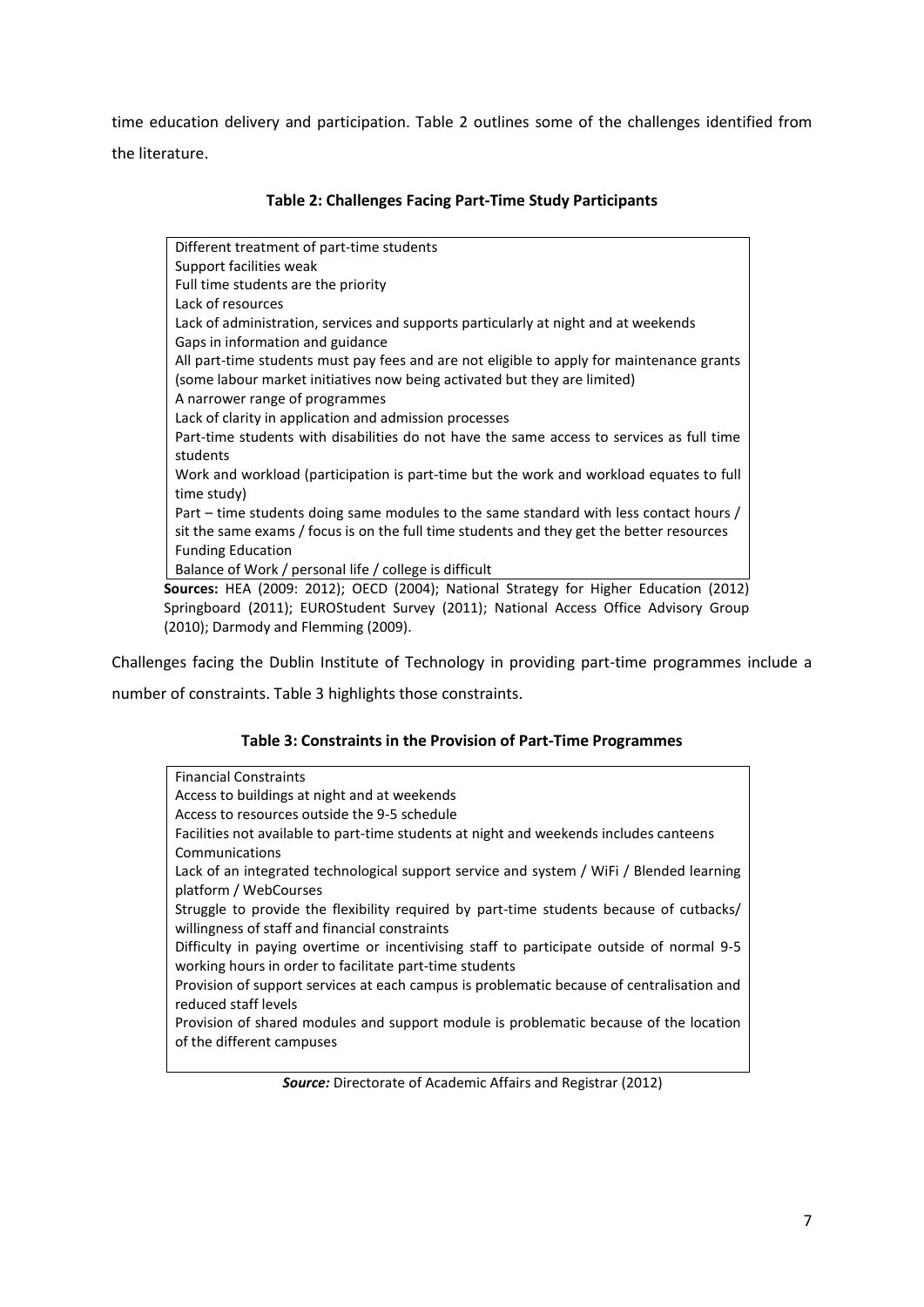time education delivery and participation. Table 2 outlines some of the challenges identified from the literature.

| Different treatment of part-time students                                                 |
|-------------------------------------------------------------------------------------------|
| Support facilities weak                                                                   |
| Full time students are the priority                                                       |
| Lack of resources                                                                         |
| Lack of administration, services and supports particularly at night and at weekends       |
| Gaps in information and guidance                                                          |
| All part-time students must pay fees and are not eligible to apply for maintenance grants |
| (some labour market initiatives now being activated but they are limited)                 |
| A narrower range of programmes                                                            |
| Lack of clarity in application and admission processes                                    |
| Part-time students with disabilities do not have the same access to services as full time |
| students                                                                                  |
| Work and workload (participation is part-time but the work and workload equates to full   |
| time study)                                                                               |
| Part – time students doing same modules to the same standard with less contact hours /    |
| sit the same exams / focus is on the full time students and they get the better resources |
| <b>Funding Education</b>                                                                  |
| Balance of Work / personal life / college is difficult                                    |
| ources: HEA (2009: 2012); OECD (2004); National Strategy for Higher Education (2012       |

## **Table 2: Challenges Facing Part-Time Study Participants**

**Sources:** HEA (2009: 2012); OECD (2004); National Strategy for Higher Education (2012) Springboard (2011); EUROStudent Survey (2011); National Access Office Advisory Group (2010); Darmody and Flemming (2009).

Challenges facing the Dublin Institute of Technology in providing part-time programmes include a

number of constraints. Table 3 highlights those constraints.

## **Table 3: Constraints in the Provision of Part-Time Programmes**

| <b>Financial Constraints</b>                                                              |
|-------------------------------------------------------------------------------------------|
| Access to buildings at night and at weekends                                              |
| Access to resources outside the 9-5 schedule                                              |
| Facilities not available to part-time students at night and weekends includes canteens    |
| Communications                                                                            |
| Lack of an integrated technological support service and system / WiFi / Blended learning  |
| platform / WebCourses                                                                     |
| Struggle to provide the flexibility required by part-time students because of cutbacks/   |
| willingness of staff and financial constraints                                            |
| Difficulty in paying overtime or incentivising staff to participate outside of normal 9-5 |
| working hours in order to facilitate part-time students                                   |
| Provision of support services at each campus is problematic because of centralisation and |
| reduced staff levels                                                                      |
| Provision of shared modules and support module is problematic because of the location     |
| of the different campuses                                                                 |
|                                                                                           |

*Source:* Directorate of Academic Affairs and Registrar (2012)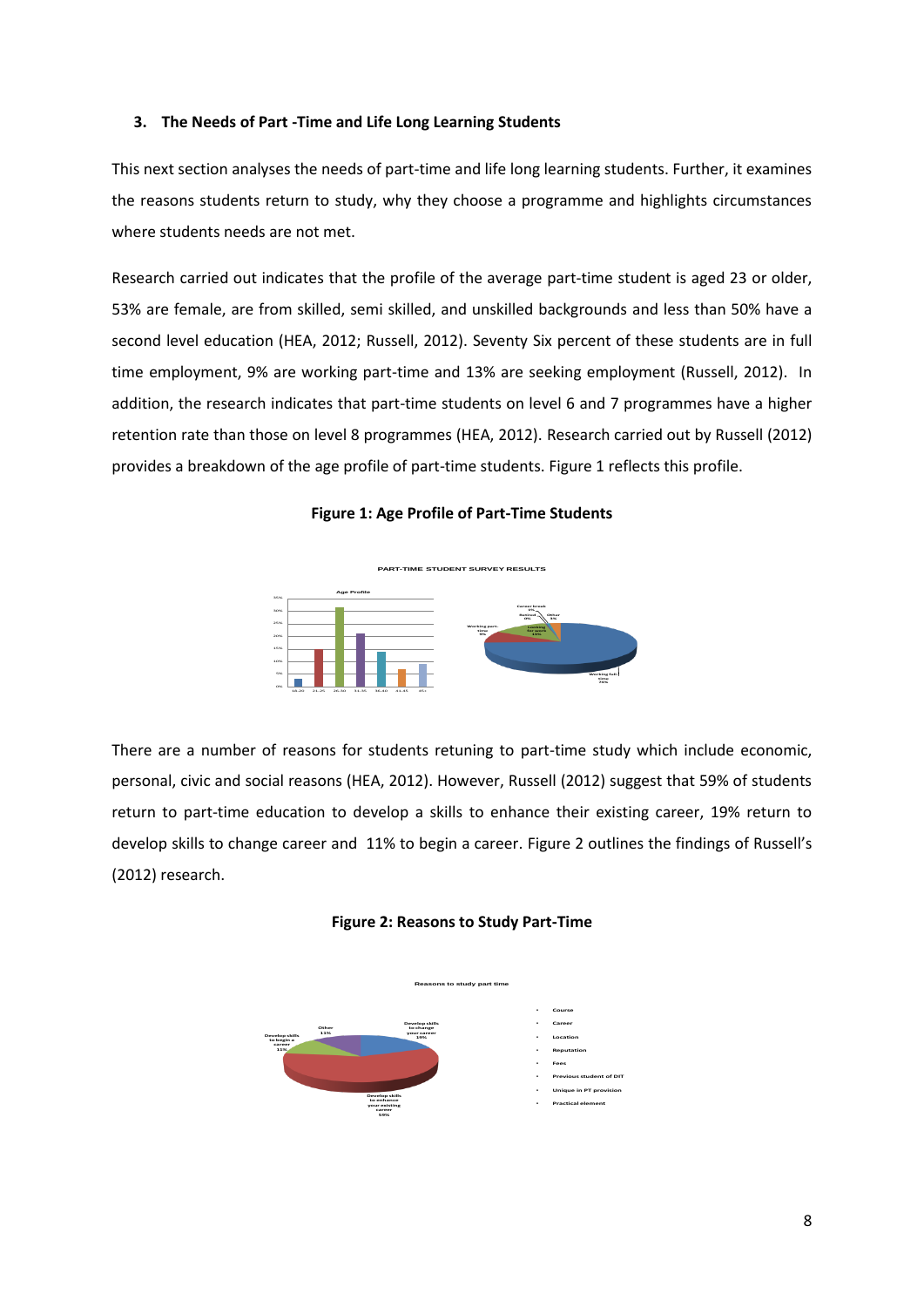#### **3. The Needs of Part -Time and Life Long Learning Students**

This next section analyses the needs of part-time and life long learning students. Further, it examines the reasons students return to study, why they choose a programme and highlights circumstances where students needs are not met.

Research carried out indicates that the profile of the average part-time student is aged 23 or older, 53% are female, are from skilled, semi skilled, and unskilled backgrounds and less than 50% have a second level education (HEA, 2012; Russell, 2012). Seventy Six percent of these students are in full time employment, 9% are working part-time and 13% are seeking employment (Russell, 2012). In addition, the research indicates that part-time students on level 6 and 7 programmes have a higher retention rate than those on level 8 programmes (HEA, 2012). Research carried out by Russell (2012) provides a breakdown of the age profile of part-time students. Figure 1 reflects this profile.

#### **Figure 1: Age Profile of Part-Time Students**



There are a number of reasons for students retuning to part-time study which include economic, personal, civic and social reasons (HEA, 2012). However, Russell (2012) suggest that 59% of students return to part-time education to develop a skills to enhance their existing career, 19% return to develop skills to change career and 11% to begin a career. Figure 2 outlines the findings of Russell's (2012) research.



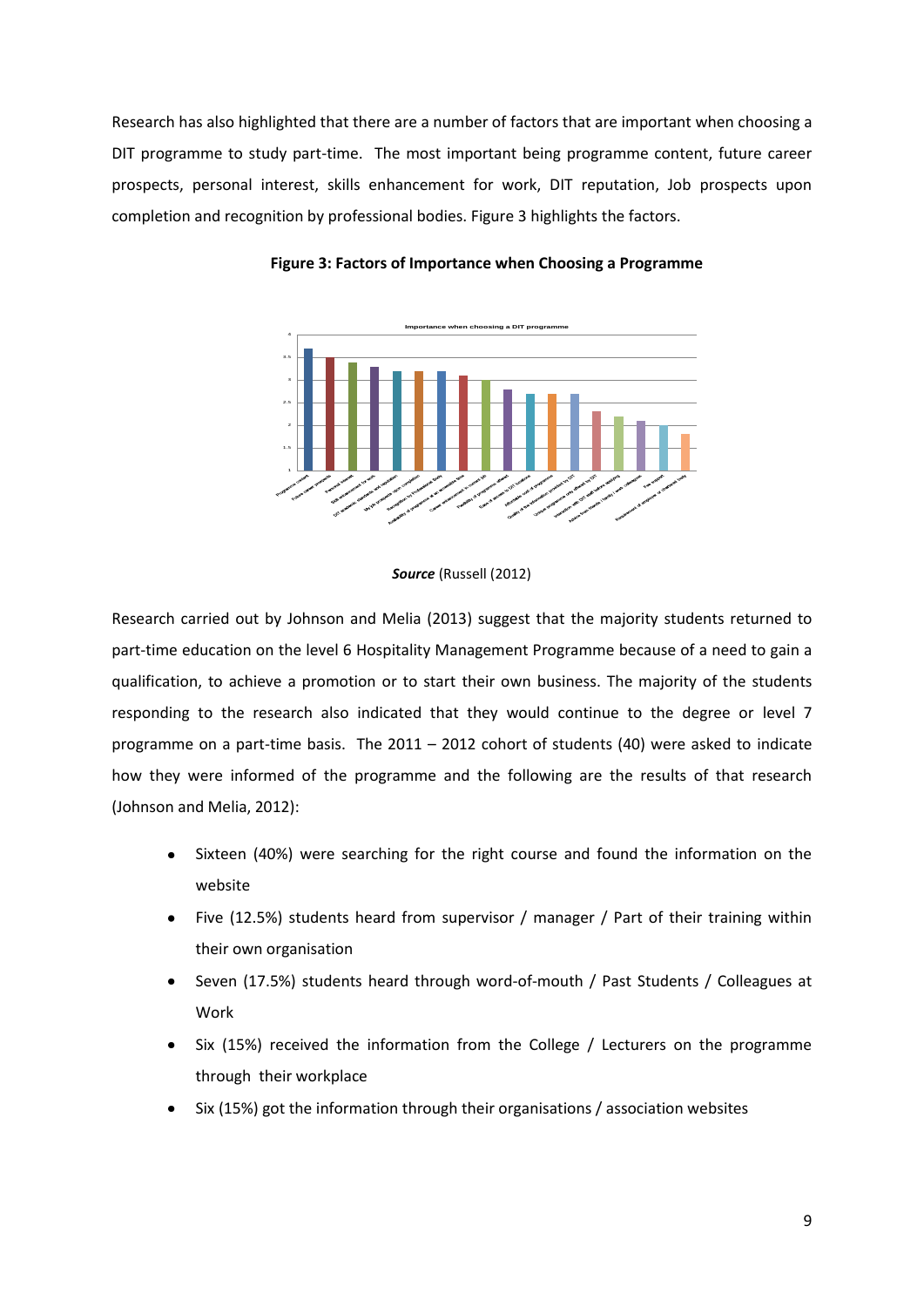Research has also highlighted that there are a number of factors that are important when choosing a DIT programme to study part-time. The most important being programme content, future career prospects, personal interest, skills enhancement for work, DIT reputation, Job prospects upon completion and recognition by professional bodies. Figure 3 highlights the factors.



**Figure 3: Factors of Importance when Choosing a Programme**

#### *Source* (Russell (2012)

Research carried out by Johnson and Melia (2013) suggest that the majority students returned to part-time education on the level 6 Hospitality Management Programme because of a need to gain a qualification, to achieve a promotion or to start their own business. The majority of the students responding to the research also indicated that they would continue to the degree or level 7 programme on a part-time basis. The 2011 – 2012 cohort of students (40) were asked to indicate how they were informed of the programme and the following are the results of that research (Johnson and Melia, 2012):

- Sixteen (40%) were searching for the right course and found the information on the website
- Five (12.5%) students heard from supervisor / manager / Part of their training within their own organisation
- Seven (17.5%) students heard through word-of-mouth / Past Students / Colleagues at Work
- Six (15%) received the information from the College / Lecturers on the programme through their workplace
- Six (15%) got the information through their organisations / association websites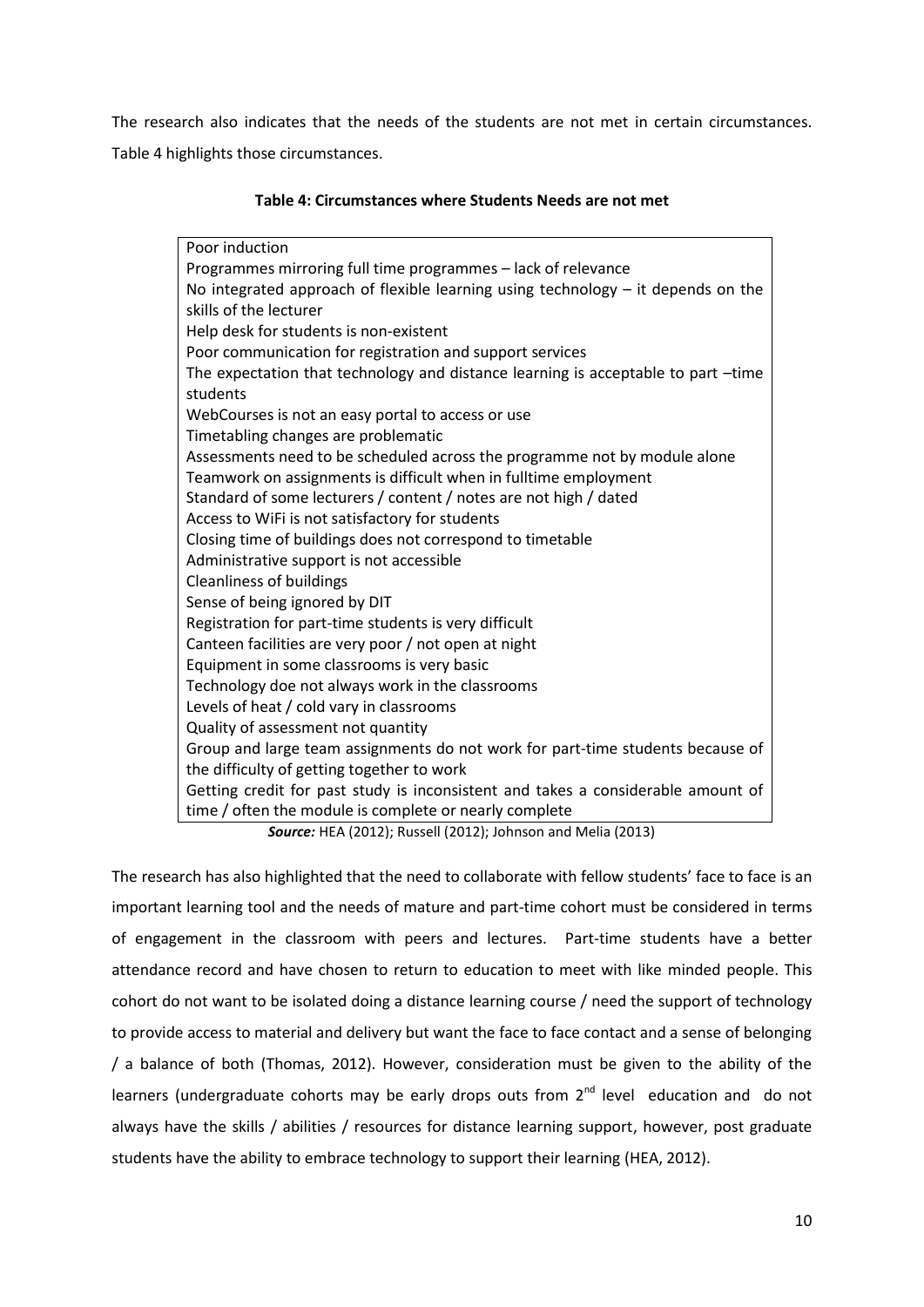The research also indicates that the needs of the students are not met in certain circumstances. Table 4 highlights those circumstances.

| Table 4: Circumstances where Students Needs are not met |  |  |
|---------------------------------------------------------|--|--|
|---------------------------------------------------------|--|--|

Poor induction Programmes mirroring full time programmes – lack of relevance No integrated approach of flexible learning using technology – it depends on the skills of the lecturer Help desk for students is non-existent Poor communication for registration and support services The expectation that technology and distance learning is acceptable to part –time students WebCourses is not an easy portal to access or use Timetabling changes are problematic Assessments need to be scheduled across the programme not by module alone Teamwork on assignments is difficult when in fulltime employment Standard of some lecturers / content / notes are not high / dated Access to WiFi is not satisfactory for students Closing time of buildings does not correspond to timetable Administrative support is not accessible Cleanliness of buildings Sense of being ignored by DIT Registration for part-time students is very difficult Canteen facilities are very poor / not open at night Equipment in some classrooms is very basic Technology doe not always work in the classrooms Levels of heat / cold vary in classrooms Quality of assessment not quantity Group and large team assignments do not work for part-time students because of the difficulty of getting together to work Getting credit for past study is inconsistent and takes a considerable amount of time / often the module is complete or nearly complete

*Source:* HEA (2012); Russell (2012); Johnson and Melia (2013)

The research has also highlighted that the need to collaborate with fellow students' face to face is an important learning tool and the needs of mature and part-time cohort must be considered in terms of engagement in the classroom with peers and lectures. Part-time students have a better attendance record and have chosen to return to education to meet with like minded people. This cohort do not want to be isolated doing a distance learning course / need the support of technology to provide access to material and delivery but want the face to face contact and a sense of belonging / a balance of both (Thomas, 2012). However, consideration must be given to the ability of the learners (undergraduate cohorts may be early drops outs from 2<sup>nd</sup> level education and do not always have the skills / abilities / resources for distance learning support, however, post graduate students have the ability to embrace technology to support their learning (HEA, 2012).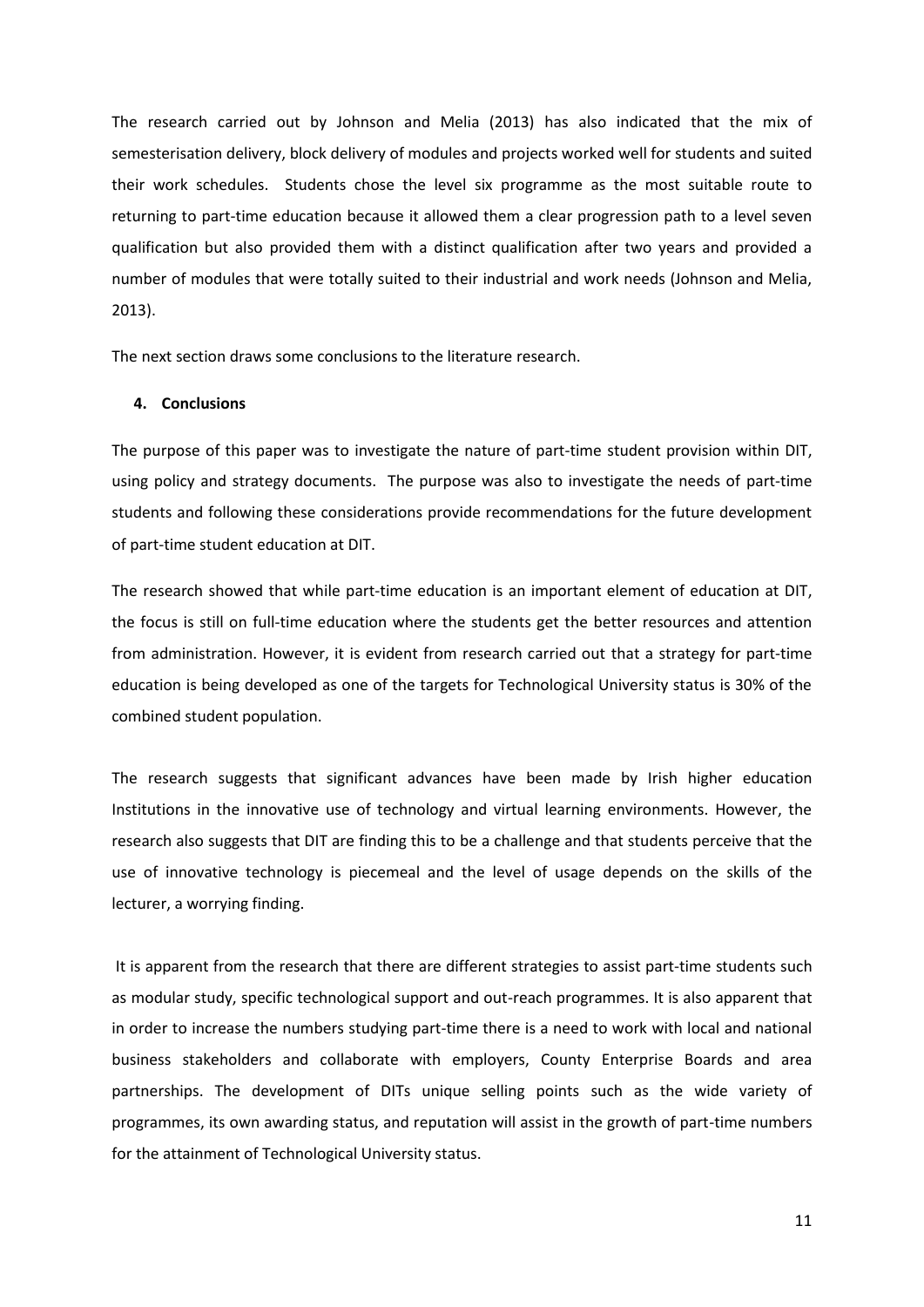The research carried out by Johnson and Melia (2013) has also indicated that the mix of semesterisation delivery, block delivery of modules and projects worked well for students and suited their work schedules. Students chose the level six programme as the most suitable route to returning to part-time education because it allowed them a clear progression path to a level seven qualification but also provided them with a distinct qualification after two years and provided a number of modules that were totally suited to their industrial and work needs (Johnson and Melia, 2013).

The next section draws some conclusions to the literature research.

#### **4. Conclusions**

The purpose of this paper was to investigate the nature of part-time student provision within DIT, using policy and strategy documents. The purpose was also to investigate the needs of part-time students and following these considerations provide recommendations for the future development of part-time student education at DIT.

The research showed that while part-time education is an important element of education at DIT, the focus is still on full-time education where the students get the better resources and attention from administration. However, it is evident from research carried out that a strategy for part-time education is being developed as one of the targets for Technological University status is 30% of the combined student population.

The research suggests that significant advances have been made by Irish higher education Institutions in the innovative use of technology and virtual learning environments. However, the research also suggests that DIT are finding this to be a challenge and that students perceive that the use of innovative technology is piecemeal and the level of usage depends on the skills of the lecturer, a worrying finding.

It is apparent from the research that there are different strategies to assist part-time students such as modular study, specific technological support and out-reach programmes. It is also apparent that in order to increase the numbers studying part-time there is a need to work with local and national business stakeholders and collaborate with employers, County Enterprise Boards and area partnerships. The development of DITs unique selling points such as the wide variety of programmes, its own awarding status, and reputation will assist in the growth of part-time numbers for the attainment of Technological University status.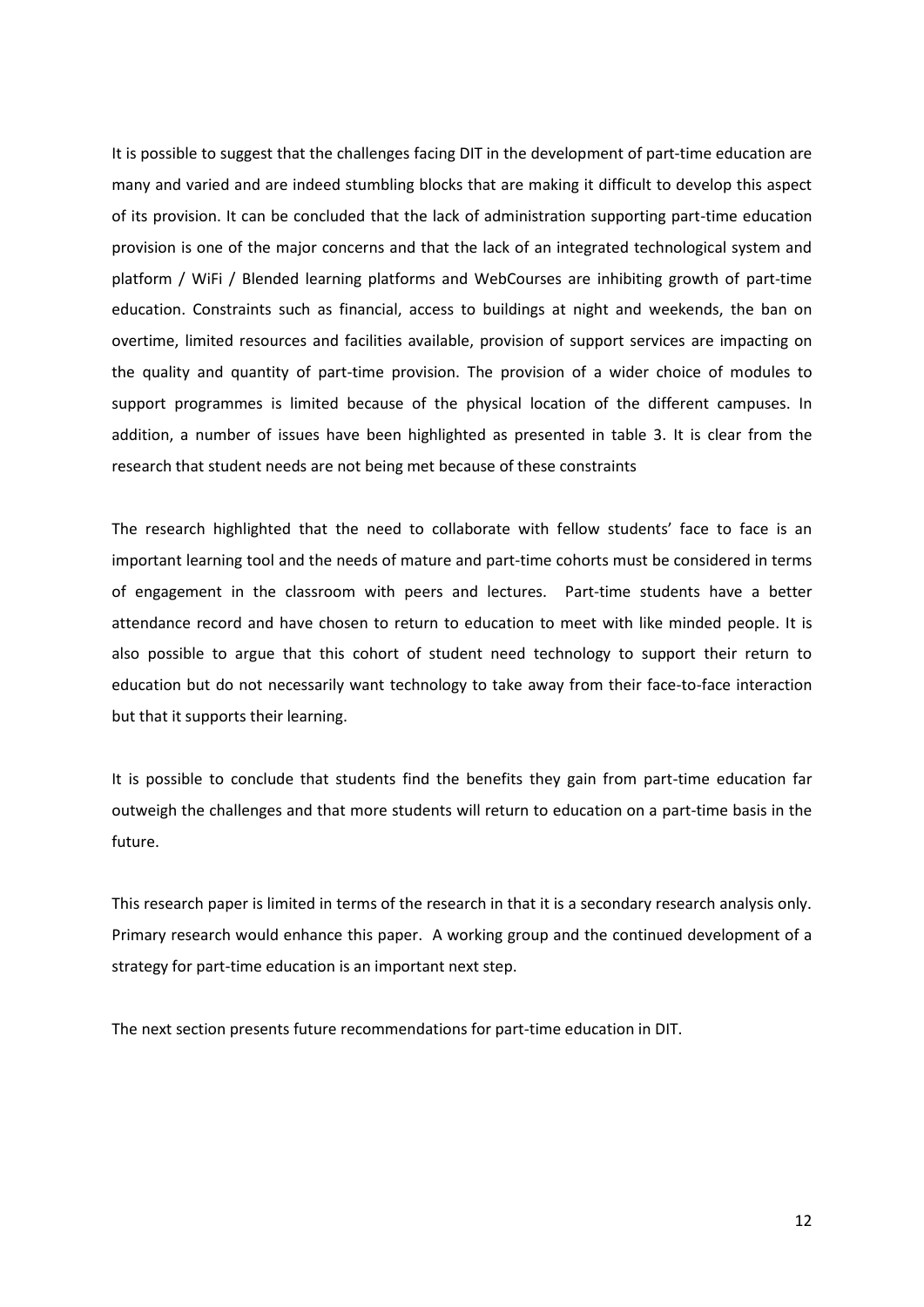It is possible to suggest that the challenges facing DIT in the development of part-time education are many and varied and are indeed stumbling blocks that are making it difficult to develop this aspect of its provision. It can be concluded that the lack of administration supporting part-time education provision is one of the major concerns and that the lack of an integrated technological system and platform / WiFi / Blended learning platforms and WebCourses are inhibiting growth of part-time education. Constraints such as financial, access to buildings at night and weekends, the ban on overtime, limited resources and facilities available, provision of support services are impacting on the quality and quantity of part-time provision. The provision of a wider choice of modules to support programmes is limited because of the physical location of the different campuses. In addition, a number of issues have been highlighted as presented in table 3. It is clear from the research that student needs are not being met because of these constraints

The research highlighted that the need to collaborate with fellow students' face to face is an important learning tool and the needs of mature and part-time cohorts must be considered in terms of engagement in the classroom with peers and lectures. Part-time students have a better attendance record and have chosen to return to education to meet with like minded people. It is also possible to argue that this cohort of student need technology to support their return to education but do not necessarily want technology to take away from their face-to-face interaction but that it supports their learning.

It is possible to conclude that students find the benefits they gain from part-time education far outweigh the challenges and that more students will return to education on a part-time basis in the future.

This research paper is limited in terms of the research in that it is a secondary research analysis only. Primary research would enhance this paper. A working group and the continued development of a strategy for part-time education is an important next step.

The next section presents future recommendations for part-time education in DIT.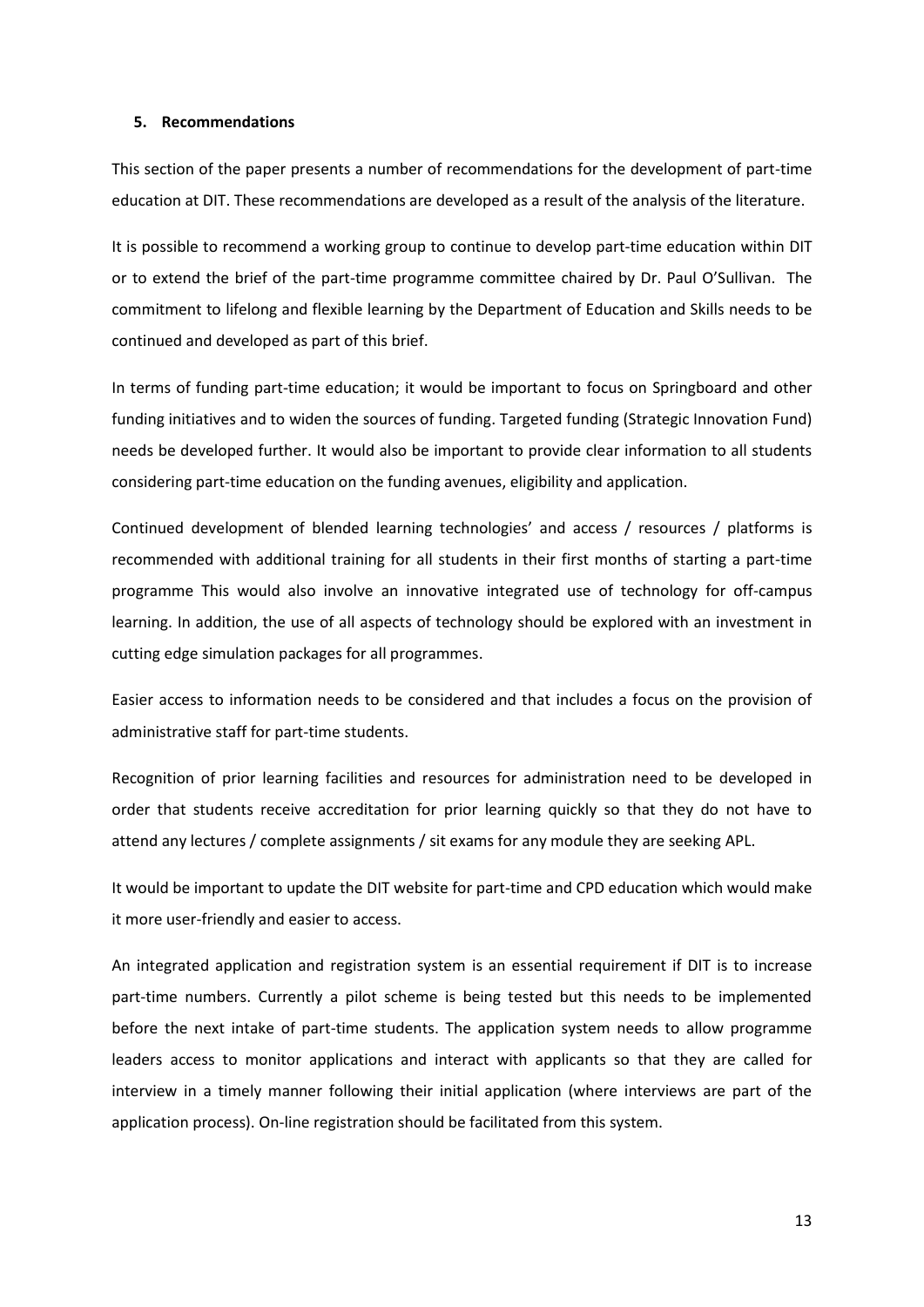#### **5. Recommendations**

This section of the paper presents a number of recommendations for the development of part-time education at DIT. These recommendations are developed as a result of the analysis of the literature.

It is possible to recommend a working group to continue to develop part-time education within DIT or to extend the brief of the part-time programme committee chaired by Dr. Paul O'Sullivan. The commitment to lifelong and flexible learning by the Department of Education and Skills needs to be continued and developed as part of this brief.

In terms of funding part-time education; it would be important to focus on Springboard and other funding initiatives and to widen the sources of funding. Targeted funding (Strategic Innovation Fund) needs be developed further. It would also be important to provide clear information to all students considering part-time education on the funding avenues, eligibility and application.

Continued development of blended learning technologies' and access / resources / platforms is recommended with additional training for all students in their first months of starting a part-time programme This would also involve an innovative integrated use of technology for off-campus learning. In addition, the use of all aspects of technology should be explored with an investment in cutting edge simulation packages for all programmes.

Easier access to information needs to be considered and that includes a focus on the provision of administrative staff for part-time students.

Recognition of prior learning facilities and resources for administration need to be developed in order that students receive accreditation for prior learning quickly so that they do not have to attend any lectures / complete assignments / sit exams for any module they are seeking APL.

It would be important to update the DIT website for part-time and CPD education which would make it more user-friendly and easier to access.

An integrated application and registration system is an essential requirement if DIT is to increase part-time numbers. Currently a pilot scheme is being tested but this needs to be implemented before the next intake of part-time students. The application system needs to allow programme leaders access to monitor applications and interact with applicants so that they are called for interview in a timely manner following their initial application (where interviews are part of the application process). On-line registration should be facilitated from this system.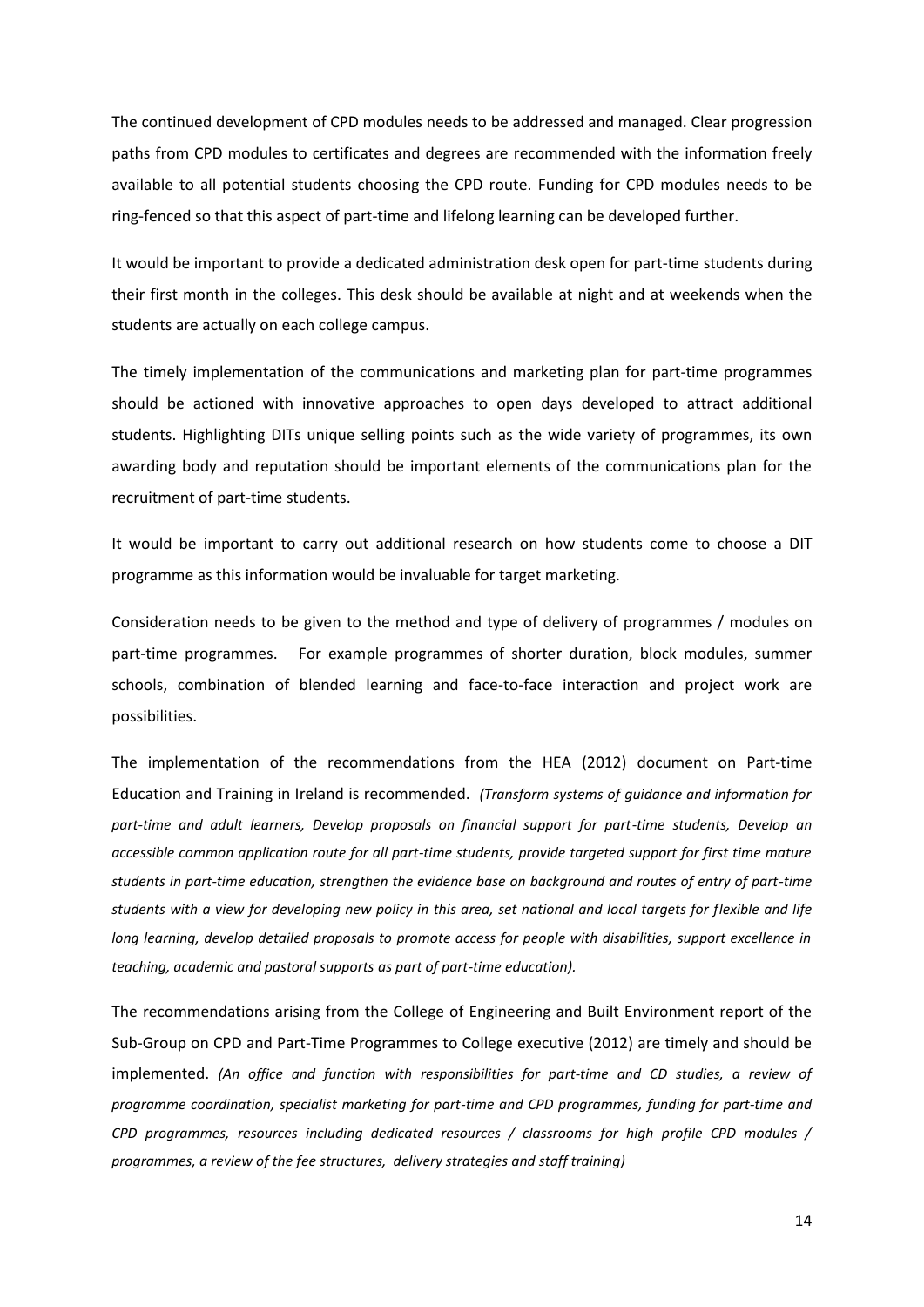The continued development of CPD modules needs to be addressed and managed. Clear progression paths from CPD modules to certificates and degrees are recommended with the information freely available to all potential students choosing the CPD route. Funding for CPD modules needs to be ring-fenced so that this aspect of part-time and lifelong learning can be developed further.

It would be important to provide a dedicated administration desk open for part-time students during their first month in the colleges. This desk should be available at night and at weekends when the students are actually on each college campus.

The timely implementation of the communications and marketing plan for part-time programmes should be actioned with innovative approaches to open days developed to attract additional students. Highlighting DITs unique selling points such as the wide variety of programmes, its own awarding body and reputation should be important elements of the communications plan for the recruitment of part-time students.

It would be important to carry out additional research on how students come to choose a DIT programme as this information would be invaluable for target marketing.

Consideration needs to be given to the method and type of delivery of programmes / modules on part-time programmes. For example programmes of shorter duration, block modules, summer schools, combination of blended learning and face-to-face interaction and project work are possibilities.

The implementation of the recommendations from the HEA (2012) document on Part-time Education and Training in Ireland is recommended. *(Transform systems of guidance and information for part-time and adult learners, Develop proposals on financial support for part-time students, Develop an accessible common application route for all part-time students, provide targeted support for first time mature students in part-time education, strengthen the evidence base on background and routes of entry of part-time students with a view for developing new policy in this area, set national and local targets for flexible and life long learning, develop detailed proposals to promote access for people with disabilities, support excellence in teaching, academic and pastoral supports as part of part-time education).*

The recommendations arising from the College of Engineering and Built Environment report of the Sub-Group on CPD and Part-Time Programmes to College executive (2012) are timely and should be implemented. *(An office and function with responsibilities for part-time and CD studies, a review of programme coordination, specialist marketing for part-time and CPD programmes, funding for part-time and CPD programmes, resources including dedicated resources / classrooms for high profile CPD modules / programmes, a review of the fee structures, delivery strategies and staff training)*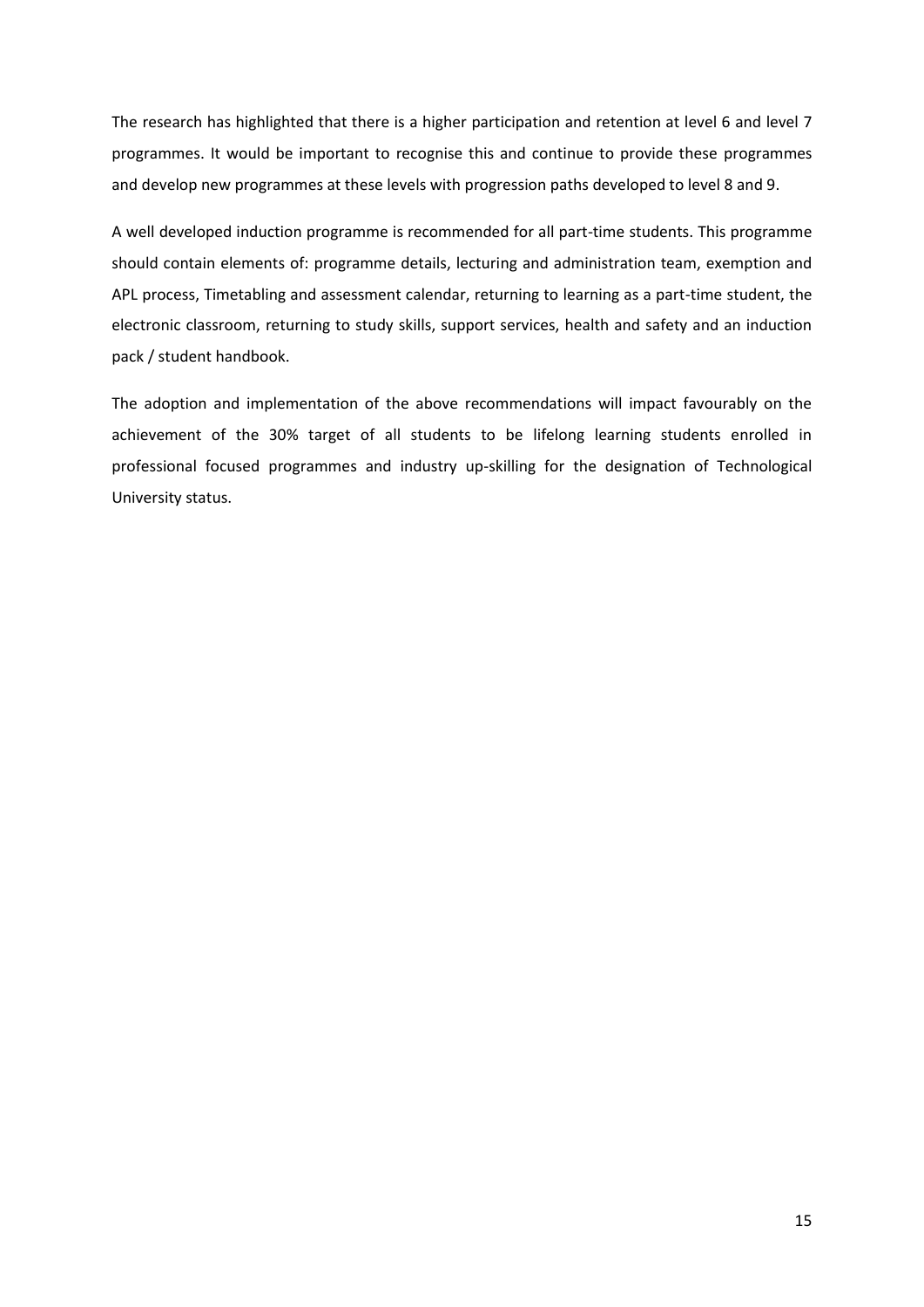The research has highlighted that there is a higher participation and retention at level 6 and level 7 programmes. It would be important to recognise this and continue to provide these programmes and develop new programmes at these levels with progression paths developed to level 8 and 9.

A well developed induction programme is recommended for all part-time students. This programme should contain elements of: programme details, lecturing and administration team, exemption and APL process, Timetabling and assessment calendar, returning to learning as a part-time student, the electronic classroom, returning to study skills, support services, health and safety and an induction pack / student handbook.

The adoption and implementation of the above recommendations will impact favourably on the achievement of the 30% target of all students to be lifelong learning students enrolled in professional focused programmes and industry up-skilling for the designation of Technological University status.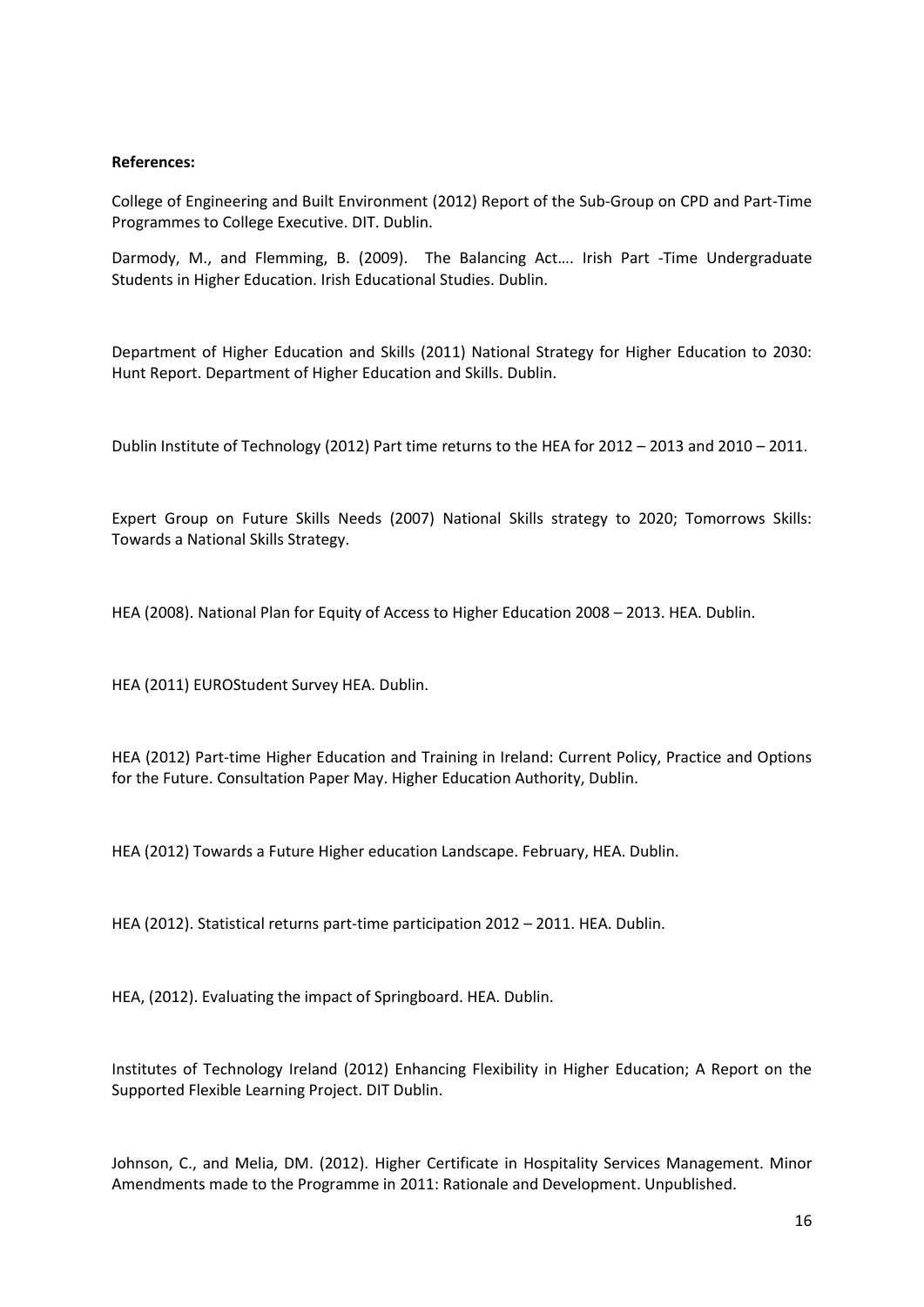## **References:**

College of Engineering and Built Environment (2012) Report of the Sub-Group on CPD and Part-Time Programmes to College Executive. DIT. Dublin.

Darmody, M., and Flemming, B. (2009). The Balancing Act…. Irish Part -Time Undergraduate Students in Higher Education. Irish Educational Studies. Dublin.

Department of Higher Education and Skills (2011) National Strategy for Higher Education to 2030: Hunt Report. Department of Higher Education and Skills. Dublin.

Dublin Institute of Technology (2012) Part time returns to the HEA for 2012 – 2013 and 2010 – 2011.

Expert Group on Future Skills Needs (2007) National Skills strategy to 2020; Tomorrows Skills: Towards a National Skills Strategy.

HEA (2008). National Plan for Equity of Access to Higher Education 2008 – 2013. HEA. Dublin.

HEA (2011) EUROStudent Survey HEA. Dublin.

HEA (2012) Part-time Higher Education and Training in Ireland: Current Policy, Practice and Options for the Future. Consultation Paper May. Higher Education Authority, Dublin.

HEA (2012) Towards a Future Higher education Landscape. February, HEA. Dublin.

HEA (2012). Statistical returns part-time participation 2012 – 2011. HEA. Dublin.

HEA, (2012). Evaluating the impact of Springboard. HEA. Dublin.

Institutes of Technology Ireland (2012) Enhancing Flexibility in Higher Education; A Report on the Supported Flexible Learning Project. DIT Dublin.

Johnson, C., and Melia, DM. (2012). Higher Certificate in Hospitality Services Management. Minor Amendments made to the Programme in 2011: Rationale and Development. Unpublished.